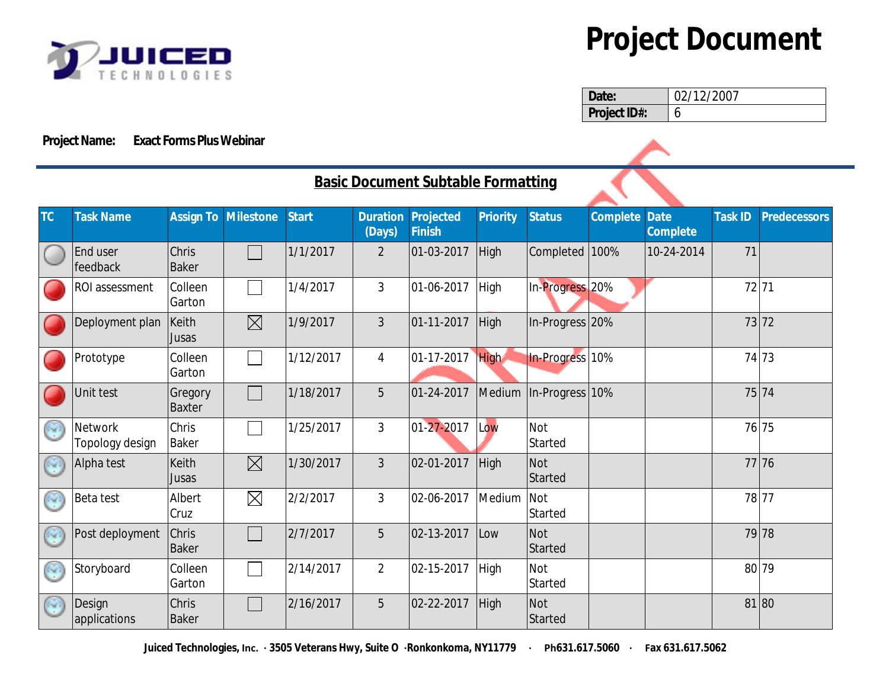

## **Project Document**

| Date:               | 02/12/2007 |
|---------------------|------------|
| <b>Project ID#:</b> |            |

## **Project Name: Exact Forms Plus Webinar**

| <b>Basic Document Subtable Formatting</b> |                                   |                       |                            |              |                           |                            |                 |                       |                 |                                |                |                     |
|-------------------------------------------|-----------------------------------|-----------------------|----------------------------|--------------|---------------------------|----------------------------|-----------------|-----------------------|-----------------|--------------------------------|----------------|---------------------|
| TC                                        | <b>Task Name</b>                  |                       | <b>Assign To Milestone</b> | <b>Start</b> | <b>Duration</b><br>(Days) | Projected<br><b>Finish</b> | <b>Priority</b> | <b>Status</b>         | <b>Complete</b> | <b>Date</b><br><b>Complete</b> | <b>Task ID</b> | <b>Predecessors</b> |
|                                           | End user<br>feedback              | Chris<br>Baker        |                            | 1/1/2017     | $\overline{2}$            | $ 01-03-2017$              | High            | Completed 100%        |                 | 10-24-2014                     | 71             |                     |
|                                           | ROI assessment                    | Colleen<br>Garton     |                            | 1/4/2017     | $\mathfrak{Z}$            | $ 01 - 06 - 2017$          | High            | In-Progress 20%       |                 |                                | 72 71          |                     |
|                                           | Deployment plan                   | Keith<br>Jusas        | $\boxtimes$                | 1/9/2017     | $\overline{3}$            | $ 01-11-2017$              | High            | In-Progress 20%       |                 |                                | 73 72          |                     |
|                                           | Prototype                         | Colleen<br>Garton     |                            | 1/12/2017    | $\overline{4}$            | $ 01 - 17 - 2017 $         | High            | In-Progress 10%       |                 |                                | 74 73          |                     |
|                                           | Unit test                         | Gregory<br>Baxter     |                            | 1/18/2017    | 5                         | 01-24-2017                 | Medium          | $ $ In-Progress 10%   |                 |                                |                | 75 74               |
| (C)                                       | <b>Network</b><br>Topology design | Chris<br>Baker        |                            | 1/25/2017    | $\mathfrak{Z}$            | 01-27-2017                 | Low             | <b>Not</b><br>Started |                 |                                |                | 76 75               |
| (O)                                       | Alpha test                        | Keith<br>Jusas        | $\boxtimes$                | 1/30/2017    | $\overline{3}$            | 02-01-2017                 | High            | Not<br>Started        |                 |                                |                | 77 76               |
| Œ                                         | Beta test                         | Albert<br><b>Cruz</b> | $\boxtimes$                | 2/2/2017     | $\overline{3}$            | 02-06-2017                 | Medium          | Not<br>Started        |                 |                                | 78 77          |                     |
| p.                                        | Post deployment                   | <b>Chris</b><br>Baker |                            | 2/7/2017     | 5                         | $ 02 - 13 - 2017$          | Low             | Not<br>Started        |                 |                                |                | 79 78               |
| 63                                        | Storyboard                        | Colleen<br>Garton     |                            | 2/14/2017    | $\overline{2}$            | $ 02 - 15 - 2017$          | High            | Not<br>Started        |                 |                                | 80 79          |                     |
| gΩ                                        | Design<br>applications            | Chris<br>Baker        |                            | 2/16/2017    | 5                         | 02-22-2017                 | High            | Not<br>Started        |                 |                                | 81 80          |                     |